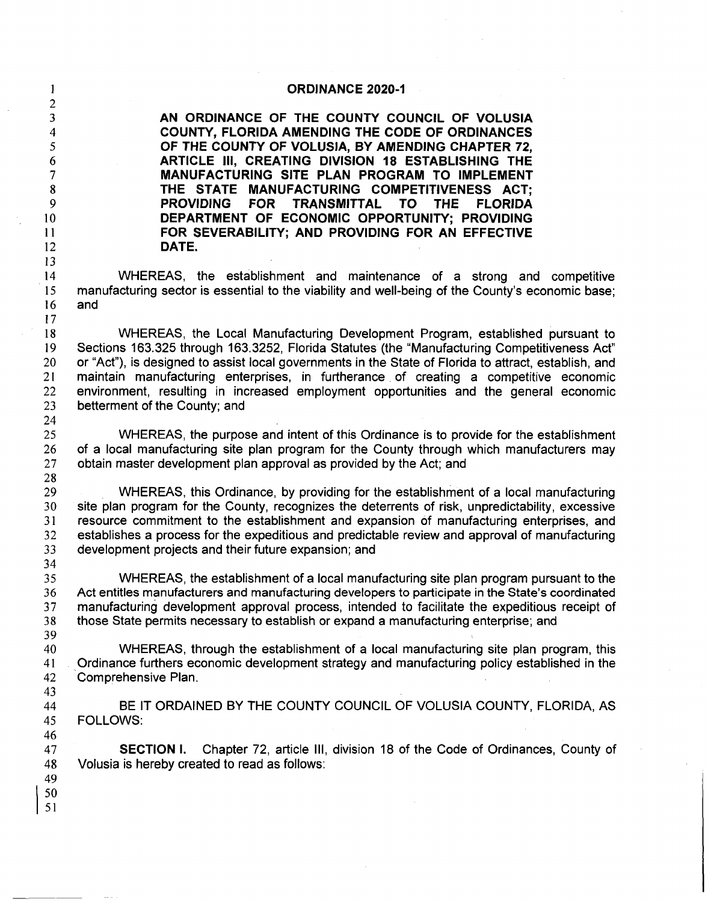| $\mathbf{1}$                                                                               | <b>ORDINANCE 2020-1</b>                                                                                                                                                                                                                                                                                                                                                                                                                                                                                   |
|--------------------------------------------------------------------------------------------|-----------------------------------------------------------------------------------------------------------------------------------------------------------------------------------------------------------------------------------------------------------------------------------------------------------------------------------------------------------------------------------------------------------------------------------------------------------------------------------------------------------|
| $\overline{c}$<br>3<br>4<br>5<br>6<br>$\overline{\mathcal{L}}$<br>8<br>9<br>10<br>11<br>12 | AN ORDINANCE OF THE COUNTY COUNCIL OF VOLUSIA<br>COUNTY, FLORIDA AMENDING THE CODE OF ORDINANCES<br>OF THE COUNTY OF VOLUSIA, BY AMENDING CHAPTER 72,<br>ARTICLE III, CREATING DIVISION 18 ESTABLISHING THE<br>MANUFACTURING SITE PLAN PROGRAM TO IMPLEMENT<br>THE STATE MANUFACTURING COMPETITIVENESS ACT:<br>PROVIDING FOR TRANSMITTAL<br>TO.<br><b>THE</b><br><b>FLORIDA</b><br>DEPARTMENT OF ECONOMIC OPPORTUNITY; PROVIDING<br>FOR SEVERABILITY; AND PROVIDING FOR AN EFFECTIVE<br>DATE.             |
| 13<br>14<br>15<br>16<br>17                                                                 | WHEREAS, the establishment and maintenance of a strong and competitive<br>manufacturing sector is essential to the viability and well-being of the County's economic base;<br>and                                                                                                                                                                                                                                                                                                                         |
| 18<br>19<br>20<br>21<br>22<br>23<br>24                                                     | WHEREAS, the Local Manufacturing Development Program, established pursuant to<br>Sections 163.325 through 163.3252, Florida Statutes (the "Manufacturing Competitiveness Act"<br>or "Act"), is designed to assist local governments in the State of Florida to attract, establish, and<br>maintain manufacturing enterprises, in furtherance of creating a competitive economic<br>environment, resulting in increased employment opportunities and the general economic<br>betterment of the County; and |
| 25<br>26<br>27<br>28                                                                       | WHEREAS, the purpose and intent of this Ordinance is to provide for the establishment<br>of a local manufacturing site plan program for the County through which manufacturers may<br>obtain master development plan approval as provided by the Act; and                                                                                                                                                                                                                                                 |
| 29<br>30<br>31<br>32<br>33                                                                 | WHEREAS, this Ordinance, by providing for the establishment of a local manufacturing<br>site plan program for the County, recognizes the deterrents of risk, unpredictability, excessive<br>resource commitment to the establishment and expansion of manufacturing enterprises, and<br>establishes a process for the expeditious and predictable review and approval of manufacturing<br>development projects and their future expansion; and                                                            |
| 34<br>35<br>36<br>37<br>38<br>39                                                           | WHEREAS, the establishment of a local manufacturing site plan program pursuant to the<br>Act entitles manufacturers and manufacturing developers to participate in the State's coordinated<br>manufacturing development approval process, intended to facilitate the expeditious receipt of<br>those State permits necessary to establish or expand a manufacturing enterprise; and                                                                                                                       |
| 40<br>41<br>42<br>43                                                                       | WHEREAS, through the establishment of a local manufacturing site plan program, this<br>Ordinance furthers economic development strategy and manufacturing policy established in the<br>Comprehensive Plan.                                                                                                                                                                                                                                                                                                |
| 44<br>45<br>46                                                                             | BE IT ORDAINED BY THE COUNTY COUNCIL OF VOLUSIA COUNTY, FLORIDA, AS<br><b>FOLLOWS:</b>                                                                                                                                                                                                                                                                                                                                                                                                                    |
| 47<br>48<br>49<br>50<br>51                                                                 | Chapter 72, article III, division 18 of the Code of Ordinances, County of<br><b>SECTION I.</b><br>Volusia is hereby created to read as follows:                                                                                                                                                                                                                                                                                                                                                           |

 $\hat{\mathcal{L}}$ 

k)<br>M

 $\frac{1}{2} \sum_{i=1}^{n} \frac{1}{i} \sum_{j=1}^{n} \frac{1}{j} \sum_{j=1}^{n} \frac{1}{j} \sum_{j=1}^{n} \frac{1}{j} \sum_{j=1}^{n} \frac{1}{j} \sum_{j=1}^{n} \frac{1}{j} \sum_{j=1}^{n} \frac{1}{j} \sum_{j=1}^{n} \frac{1}{j} \sum_{j=1}^{n} \frac{1}{j} \sum_{j=1}^{n} \frac{1}{j} \sum_{j=1}^{n} \frac{1}{j} \sum_{j=1}^{n} \frac{1}{j} \sum_{j=1}^{n$ 

 $\sim$   $\sim$ 

 $\sim$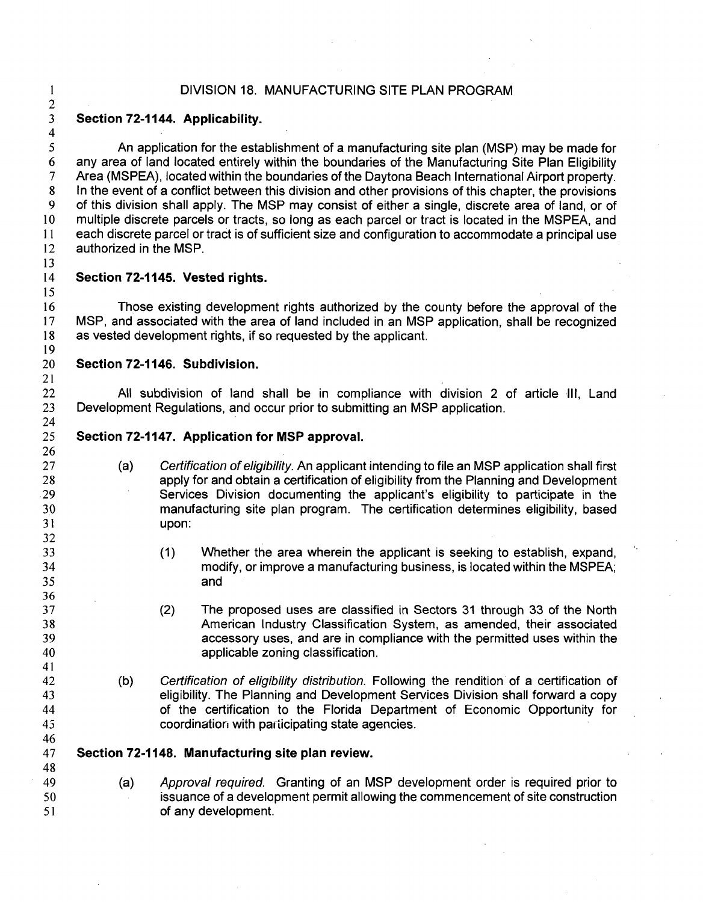## DIVISION 18. MANUFACTURING SITE PLAN PROGRAM

### 2 3 **Section 72-1144. Applicability.**

5 6 7 8 9 10 11 12 An application for the establishment of a manufacturing site plan (MSP) may be made for any area of land located entirely within the boundaries of the Manufacturing Site Plan Eligibility Area (MSPEA), located within the boundaries of the Daytona Beach International Airport property. In the event of a conflict between this division and other provisions of this chapter, the provisions of this division shall apply. The MSP may consist of either a single, discrete area of land, or of multiple discrete parcels or tracts, so long as each parcel or tract is located in the MSPEA, and each discrete parcel or tract is of sufficient size and configuration to accommodate a principal use authorized in the MSP.

13 14

15

21

I

4

# **Section 72-1145. Vested rights.**

16 17 18 19 Those existing development rights authorized by the county before the approval of the MSP, and associated with the area of land included in an MSP application, shall be recognized as vested development rights, if so requested by the applicant.

#### 20 **Section 72-1146. Subdivision.**

22 23 24 All subdivision of land shall be in compliance with division 2 of article Ill, Land Development Regulations, and occur prior to submitting an MSP application.

- 25 **Section 72-1147. Application for MSP approval.** 
	- (a) Certification of eligibility. An applicant intending to file an MSP application shall first apply for and obtain a certification of eligibility from the Planning and Development Services Division documenting the applicant's eligibility to participate in the manufacturing site plan program. The certification determines eligibility, based upon:
		- (1) Whether the area wherein the applicant is seeking to establish, expand, modify, or improve a manufacturing business, is located within the MSPEA; and
		- (2) The proposed uses are classified in Sectors 31 through 33 of the North American Industry Classification System, as amended, their associated accessory uses, and are in compliance with the permitted uses within the applicable zoning classification.
		- (b) Certification of eligibility distribution. Following the rendition of a certification of eligibility. The Planning and Development Services Division shall forward a copy of the certification to the Florida Department of Economic Opportunity for coordination with participating state agencies.
- 45 46 47

48

- **Section 72-1148. Manufacturing site plan review.**
- 49 50 51 (a) Approval required. Granting of an MSP development order is required prior to issuance of a development permit allowing the commencement of site construction of any development.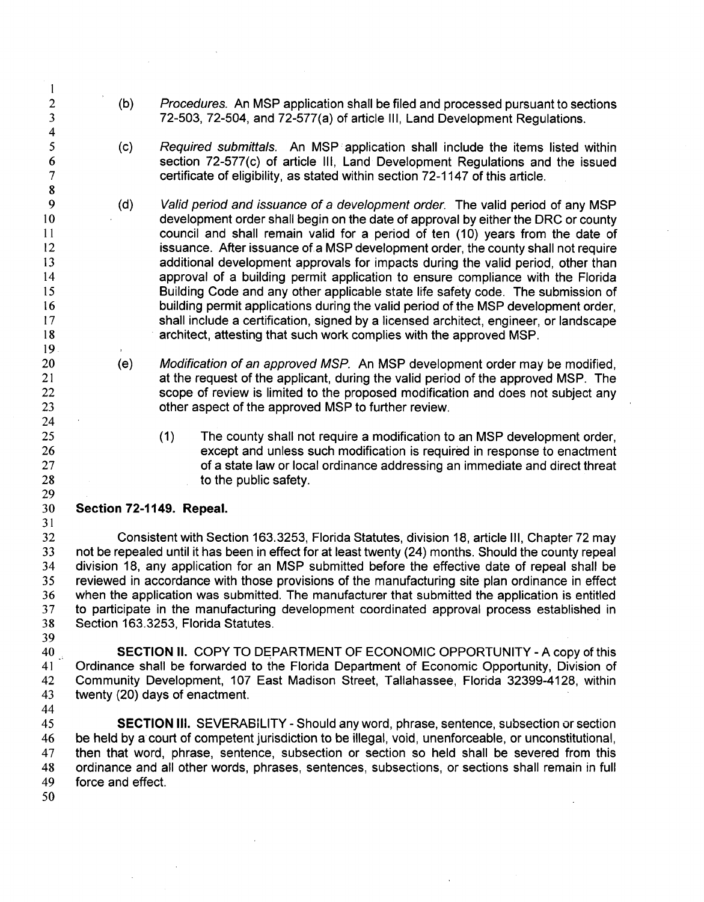- (b) Procedures. An MSP application shall be filed and processed pursuant to sections 72-503, 72-504, and 72-577(a) of article Ill, Land Development Regulations.
- $(c)$  Required submittals. An MSP application shall include the items listed within section 72-577(c) of article Ill, Land Development Regulations and the issued certificate of eligibility, as stated within section 72-1147 of this article.
- (d) Valid period and issuance of a development order. The valid period of any MSP development order shall begin on the date of approval by either the DRC or county council and shall remain valid for a period of ten (10) years from the date of issuance. After issuance of. a MSP development order, the county shall not require additional development approvals for impacts during the valid period, other than approval of a building permit application to ensure compliance with the Florida Building Code and any other applicable state life safety code. The submission of building permit applications during the valid period of the MSP development order, shall include a certification, signed by a licensed architect, engineer, or landscape architect, attesting that such work complies with the approved MSP.
	- (e) Modification of an approved MSP. An MSP development order may be modified, at the request of the applicant, during the valid period of the approved MSP. The scope of review is limited to the proposed modification and does not subject any other aspect of the approved MSP to further review.
		- (1) The county shall not require a modification to an MSP development order, except and unless such modification is required in response to enactment of a state law or local ordinance addressing an immediate and direct threat to the public safety.

#### 30 **Section 72-1149. Repeal.**

32 33 34 35 36 37 38 Consistent with Section 163.3253, Florida Statutes, division 18, article Ill, Chapter 72 may not be repealed until it has been in effect for at least twenty (24) months. Should the county repeal division 18, any application for an MSP submitted before the effective date of repeal shall be reviewed in accordance with those provisions of the manufacturing site plan ordinance in effect when the application was submitted. The manufacturer that submitted the application is entitled to participate in the manufacturing development coordinated approval process established in Section 163.3253, Florida Statutes.

 $40^{10}$ 41 42 43 44 **SECTION II.** COPY TO DEPARTMENT OF ECONOMIC OPPORTUNITY - A copy of this Ordinance shall be forwarded to the Florida Department of Economic Opportunity, Division of Community Development, 107 East Madison Street, Tallahassee, Florida 32399-4128, within twenty (20) days of enactment.

45 46 47 48 49 **SECTION** Ill. SEVERABILITY - Should any word, phrase, sentence, subsection or section be held by a court of competent jurisdiction to be illegal, void, unenforceable, or unconstitutional, then that word, phrase, sentence, subsection or section so held shall be severed from this ordinance and all other words, phrases, sentences, subsections, or sections shall remain in full force and effect.

50

31

39